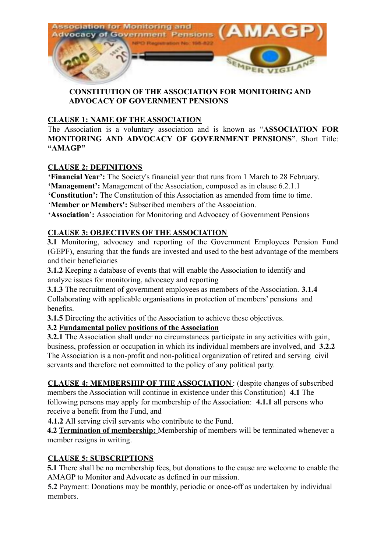

## **CONSTITUTION OF THE ASSOCIATION FOR MONITORING AND ADVOCACY OF GOVERNMENT PENSIONS**

# **CLAUSE 1: NAME OF THE ASSOCIATION**

The Association is a voluntary association and is known as "**ASSOCIATION FOR MONITORING AND ADVOCACY OF GOVERNMENT PENSIONS"**. Short Title: **"AMAGP"**

# **CLAUSE 2: DEFINITIONS**

**'Financial Year':** The Society's financial year that runs from 1 March to 28 February.

**'Management':** Management of the Association, composed as in clause 6.2.1.1

**'Constitution':** The Constitution of this Association as amended from time to time.

'**Member or Members':** Subscribed members of the Association.

**'Association':** Association for Monitoring and Advocacy of Government Pensions

# **CLAUSE 3: OBJECTIVES OF THE ASSOCIATION**

**3.1** Monitoring, advocacy and reporting of the Government Employees Pension Fund (GEPF), ensuring that the funds are invested and used to the best advantage of the members and their beneficiaries

**3.1.2** Keeping a database of events that will enable the Association to identify and analyze issues for monitoring, advocacy and reporting

**3.1.3** The recruitment of government employees as members of the Association. **3.1.4** Collaborating with applicable organisations in protection of members' pensions and benefits.

**3.1.5** Directing the activities of the Association to achieve these objectives.

# **3.2 Fundamental policy positions of the Association**

**3.2.1** The Association shall under no circumstances participate in any activities with gain, business, profession or occupation in which its individual members are involved, and **3.2.2** The Association is a non-profit and non-political organization of retired and serving civil servants and therefore not committed to the policy of any political party.

**CLAUSE 4: MEMBERSHIP OF THE ASSOCIATION** : (despite changes of subscribed members the Association will continue in existence under this Constitution) **4.1** The following persons may apply for membership of the Association: **4.1.1** all persons who receive a benefit from the Fund, and

**4.1.2** All serving civil servants who contribute to the Fund.

**4.2 Termination of membership:** Membership of members will be terminated whenever a member resigns in writing.

# **CLAUSE 5: SUBSCRIPTIONS**

**5.1** There shall be no membership fees, but donations to the cause are welcome to enable the AMAGP to Monitor and Advocate as defined in our mission.

**5.2** Payment: Donations may be monthly, periodic or once-off as undertaken by individual members.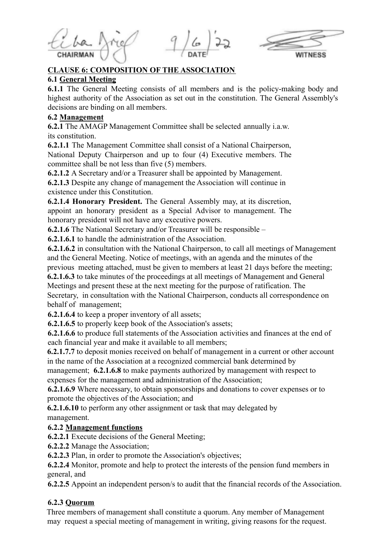

## **CLAUSE 6: COMPOSITION OF THE ASSOCIATION**

#### **6.1 General Meeting**

**6.1.1** The General Meeting consists of all members and is the policy-making body and highest authority of the Association as set out in the constitution. The General Assembly's decisions are binding on all members.

### **6.2 Management**

**6.2.1** The AMAGP Management Committee shall be selected annually i.a.w. its constitution.

**6.2.1.1** The Management Committee shall consist of a National Chairperson, National Deputy Chairperson and up to four (4) Executive members. The committee shall be not less than five (5) members.

**6.2.1.2** A Secretary and/or a Treasurer shall be appointed by Management.

**6.2.1.3** Despite any change of management the Association will continue in existence under this Constitution.

**6.2.1.4 Honorary President.** The General Assembly may, at its discretion, appoint an honorary president as a Special Advisor to management. The honorary president will not have any executive powers.

**6.2.1.6** The National Secretary and/or Treasurer will be responsible –

**6.2.1.6.1** to handle the administration of the Association.

**6.2.1.6.2** in consultation with the National Chairperson, to call all meetings of Management and the General Meeting. Notice of meetings, with an agenda and the minutes of the previous meeting attached, must be given to members at least 21 days before the meeting;

**6.2.1.6.3** to take minutes of the proceedings at all meetings of Management and General Meetings and present these at the next meeting for the purpose of ratification. The Secretary, in consultation with the National Chairperson, conducts all correspondence on behalf of management;

**6.2.1.6.4** to keep a proper inventory of all assets;

**6.2.1.6.5** to properly keep book of the Association's assets;

**6.2.1.6.6** to produce full statements of the Association activities and finances at the end of each financial year and make it available to all members;

**6.2.1.7.7** to deposit monies received on behalf of management in a current or other account in the name of the Association at a recognized commercial bank determined by

management; **6.2.1.6.8** to make payments authorized by management with respect to expenses for the management and administration of the Association;

**6.2.1.6.9** Where necessary, to obtain sponsorships and donations to cover expenses or to promote the objectives of the Association; and

**6.2.1.6.10** to perform any other assignment or task that may delegated by management.

# **6.2.2 Management functions**

**6.2.2.1** Execute decisions of the General Meeting;

**6.2.2.2** Manage the Association;

**6.2.2.3** Plan, in order to promote the Association's objectives;

**6.2.2.4** Monitor, promote and help to protect the interests of the pension fund members in general, and

**6.2.2.5** Appoint an independent person/s to audit that the financial records of the Association.

# **6.2.3 Quorum**

Three members of management shall constitute a quorum. Any member of Management may request a special meeting of management in writing, giving reasons for the request.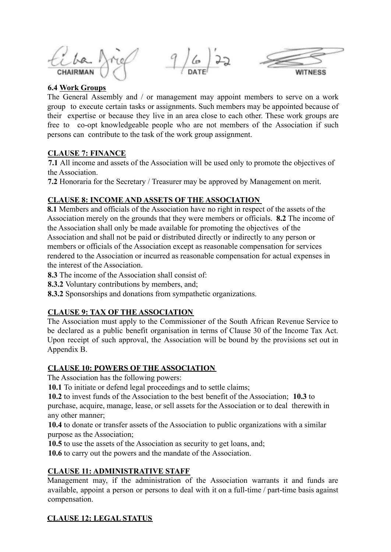$9/6/22$ 



#### **6.4 Work Groups**

The General Assembly and / or management may appoint members to serve on a work group to execute certain tasks or assignments. Such members may be appointed because of their expertise or because they live in an area close to each other. These work groups are free to co-opt knowledgeable people who are not members of the Association if such persons can contribute to the task of the work group assignment.

#### **CLAUSE 7: FINANCE**

**7.1** All income and assets of the Association will be used only to promote the objectives of the Association.

**7.2** Honoraria for the Secretary / Treasurer may be approved by Management on merit.

## **CLAUSE 8: INCOME AND ASSETS OF THE ASSOCIATION**

**8.1** Members and officials of the Association have no right in respect of the assets of the Association merely on the grounds that they were members or officials. **8.2** The income of the Association shall only be made available for promoting the objectives of the Association and shall not be paid or distributed directly or indirectly to any person or members or officials of the Association except as reasonable compensation for services rendered to the Association or incurred as reasonable compensation for actual expenses in the interest of the Association.

**8.3** The income of the Association shall consist of:

**8.3.2** Voluntary contributions by members, and;

**8.3.2** Sponsorships and donations from sympathetic organizations.

# **CLAUSE 9: TAX OF THE ASSOCIATION**

The Association must apply to the Commissioner of the South African Revenue Service to be declared as a public benefit organisation in terms of Clause 30 of the Income Tax Act. Upon receipt of such approval, the Association will be bound by the provisions set out in Appendix B.

#### **CLAUSE 10: POWERS OF THE ASSOCIATION**

The Association has the following powers:

**10.1** To initiate or defend legal proceedings and to settle claims;

**10.2** to invest funds of the Association to the best benefit of the Association; **10.3** to purchase, acquire, manage, lease, or sell assets for the Association or to deal therewith in any other manner;

**10.4** to donate or transfer assets of the Association to public organizations with a similar purpose as the Association;

**10.5** to use the assets of the Association as security to get loans, and;

**10.6** to carry out the powers and the mandate of the Association.

#### **CLAUSE 11: ADMINISTRATIVE STAFF**

Management may, if the administration of the Association warrants it and funds are available, appoint a person or persons to deal with it on a full-time / part-time basis against compensation.

# **CLAUSE 12: LEGAL STATUS**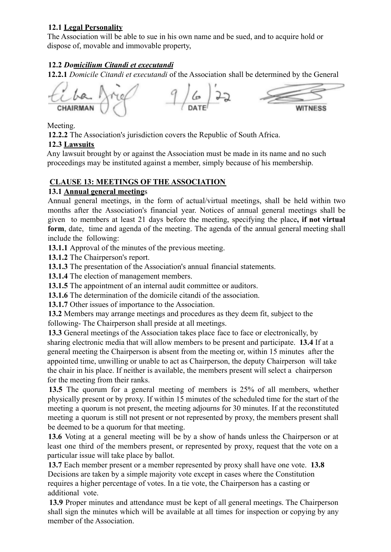# **12.1 Legal Personality**

The Association will be able to sue in his own name and be sued, and to acquire hold or dispose of, movable and immovable property,

## **12.2** *Domicilium Citandi et executandi*

**12.2.1** *Domicile Citandi et executandi* of the Association shall be determined by the General

**WITNESS** 

Meeting.

**12.2.2** The Association's jurisdiction covers the Republic of South Africa.

## **12.3 Lawsuits**

Any lawsuit brought by or against the Association must be made in its name and no such proceedings may be instituted against a member, simply because of his membership.

## **CLAUSE 13: MEETINGS OF THE ASSOCIATION**

## **13.1 Annual general meeting**s

Annual general meetings, in the form of actual/virtual meetings, shall be held within two months after the Association's financial year. Notices of annual general meetings shall be given to members at least 21 days before the meeting, specifying the place**, if not virtual** form, date, time and agenda of the meeting. The agenda of the annual general meeting shall include the following:

**13.1.1** Approval of the minutes of the previous meeting.

**13.1.2** The Chairperson's report.

**13.1.3** The presentation of the Association's annual financial statements.

**13.1.4** The election of management members.

13.1.5 The appointment of an internal audit committee or auditors.

**13.1.6** The determination of the domicile citandi of the association.

**13.1.7** Other issues of importance to the Association.

**13.2** Members may arrange meetings and procedures as they deem fit, subject to the following- The Chairperson shall preside at all meetings.

**13.3** General meetings of the Association takes place face to face or electronically, by sharing electronic media that will allow members to be present and participate. **13.4** If at a general meeting the Chairperson is absent from the meeting or, within 15 minutes after the appointed time, unwilling or unable to act as Chairperson, the deputy Chairperson will take the chair in his place. If neither is available, the members present will select a chairperson for the meeting from their ranks.

**13.5** The quorum for a general meeting of members is 25% of all members, whether physically present or by proxy. If within 15 minutes of the scheduled time for the start of the meeting a quorum is not present, the meeting adjourns for 30 minutes. If at the reconstituted meeting a quorum is still not present or not represented by proxy, the members present shall be deemed to be a quorum for that meeting.

**13.6** Voting at a general meeting will be by a show of hands unless the Chairperson or at least one third of the members present, or represented by proxy, request that the vote on a particular issue will take place by ballot.

**13.7** Each member present or a member represented by proxy shall have one vote. **13.8** Decisions are taken by a simple majority vote except in cases where the Constitution requires a higher percentage of votes. In a tie vote, the Chairperson has a casting or additional vote.

**13.9** Proper minutes and attendance must be kept of all general meetings. The Chairperson shall sign the minutes which will be available at all times for inspection or copying by any member of the Association.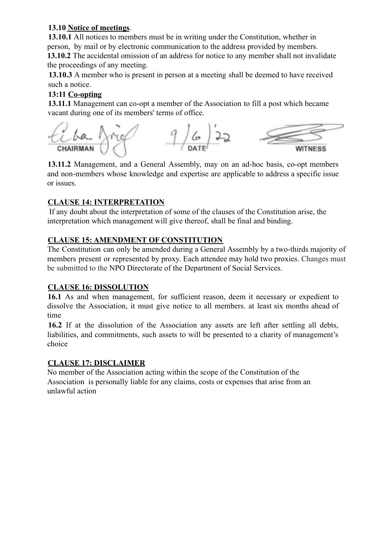## **13.10 Notice of meetings**.

**13.10.1** All notices to members must be in writing under the Constitution, whether in person, by mail or by electronic communication to the address provided by members. **13.10.2** The accidental omission of an address for notice to any member shall not invalidate the proceedings of any meeting.

**13.10.3** A member who is present in person at a meeting shall be deemed to have received such a notice.

# **13:11 Co-opting**

**13.11.1** Management can co-opt a member of the Association to fill a post which became vacant during one of its members' terms of office.



**13.11.2** Management, and a General Assembly, may on an ad-hoc basis, co-opt members and non-members whose knowledge and expertise are applicable to address a specific issue or issues.

# **CLAUSE 14: INTERPRETATION**

If any doubt about the interpretation of some of the clauses of the Constitution arise, the interpretation which management will give thereof, shall be final and binding.

# **CLAUSE 15: AMENDMENT OF CONSTITUTION**

The Constitution can only be amended during a General Assembly by a two-thirds majority of members present or represented by proxy. Each attendee may hold two proxies. Changes must be submitted to the NPO Directorate of the Department of Social Services.

# **CLAUSE 16: DISSOLUTION**

**16.1** As and when management, for sufficient reason, deem it necessary or expedient to dissolve the Association, it must give notice to all members. at least six months ahead of time

**16.2** If at the dissolution of the Association any assets are left after settling all debts, liabilities, and commitments, such assets to will be presented to a charity of management's choice

# **CLAUSE 17: DISCLAIMER**

No member of the Association acting within the scope of the Constitution of the Association is personally liable for any claims, costs or expenses that arise from an unlawful action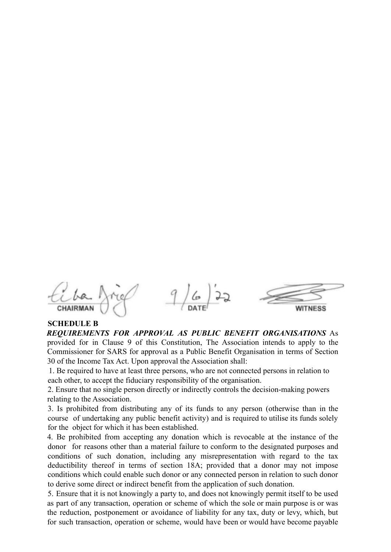$9/6/22$ CHAIRMAN WITNESS

# **SCHEDULE B**

*REQUIREMENTS FOR APPROVAL AS PUBLIC BENEFIT ORGANISATIONS* As provided for in Clause 9 of this Constitution, The Association intends to apply to the Commissioner for SARS for approval as a Public Benefit Organisation in terms of Section 30 of the Income Tax Act. Upon approval the Association shall:

1. Be required to have at least three persons, who are not connected persons in relation to each other, to accept the fiduciary responsibility of the organisation.

2. Ensure that no single person directly or indirectly controls the decision-making powers relating to the Association.

3. Is prohibited from distributing any of its funds to any person (otherwise than in the course of undertaking any public benefit activity) and is required to utilise its funds solely for the object for which it has been established.

4. Be prohibited from accepting any donation which is revocable at the instance of the donor for reasons other than a material failure to conform to the designated purposes and conditions of such donation, including any misrepresentation with regard to the tax deductibility thereof in terms of section 18A; provided that a donor may not impose conditions which could enable such donor or any connected person in relation to such donor to derive some direct or indirect benefit from the application of such donation.

5. Ensure that it is not knowingly a party to, and does not knowingly permit itself to be used as part of any transaction, operation or scheme of which the sole or main purpose is or was the reduction, postponement or avoidance of liability for any tax, duty or levy, which, but for such transaction, operation or scheme, would have been or would have become payable